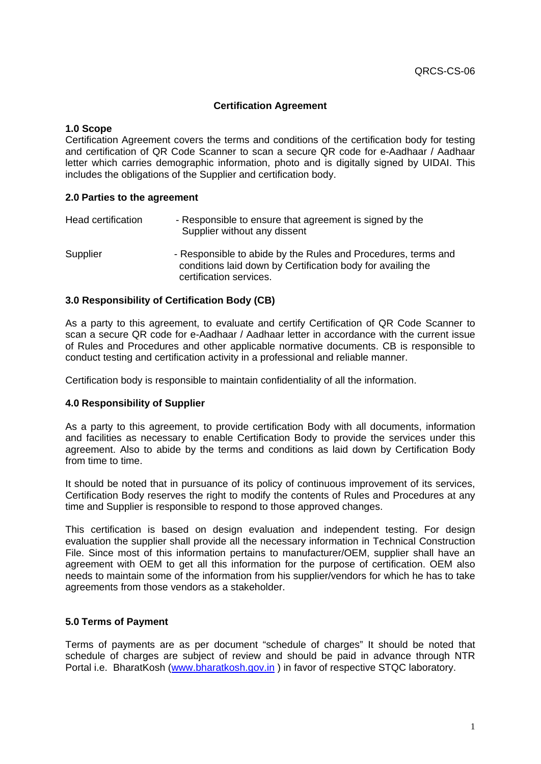# **Certification Agreement**

### **1.0 Scope**

Certification Agreement covers the terms and conditions of the certification body for testing and certification of QR Code Scanner to scan a secure QR code for e-Aadhaar / Aadhaar letter which carries demographic information, photo and is digitally signed by UIDAI. This includes the obligations of the Supplier and certification body.

## **2.0 Parties to the agreement**

| Head certification | - Responsible to ensure that agreement is signed by the<br>Supplier without any dissent                                                                 |
|--------------------|---------------------------------------------------------------------------------------------------------------------------------------------------------|
| Supplier           | - Responsible to abide by the Rules and Procedures, terms and<br>conditions laid down by Certification body for availing the<br>certification services. |

## **3.0 Responsibility of Certification Body (CB)**

As a party to this agreement, to evaluate and certify Certification of QR Code Scanner to scan a secure QR code for e-Aadhaar / Aadhaar letter in accordance with the current issue of Rules and Procedures and other applicable normative documents. CB is responsible to conduct testing and certification activity in a professional and reliable manner.

Certification body is responsible to maintain confidentiality of all the information.

#### **4.0 Responsibility of Supplier**

As a party to this agreement, to provide certification Body with all documents, information and facilities as necessary to enable Certification Body to provide the services under this agreement. Also to abide by the terms and conditions as laid down by Certification Body from time to time.

It should be noted that in pursuance of its policy of continuous improvement of its services, Certification Body reserves the right to modify the contents of Rules and Procedures at any time and Supplier is responsible to respond to those approved changes.

This certification is based on design evaluation and independent testing. For design evaluation the supplier shall provide all the necessary information in Technical Construction File. Since most of this information pertains to manufacturer/OEM, supplier shall have an agreement with OEM to get all this information for the purpose of certification. OEM also needs to maintain some of the information from his supplier/vendors for which he has to take agreements from those vendors as a stakeholder.

#### **5.0 Terms of Payment**

Terms of payments are as per document "schedule of charges" It should be noted that schedule of charges are subject of review and should be paid in advance through NTR Portal i.e. BharatKosh [\(www.bharatkosh.gov.in](http://www.bharatkosh.gov.in/)) in favor of respective STQC laboratory.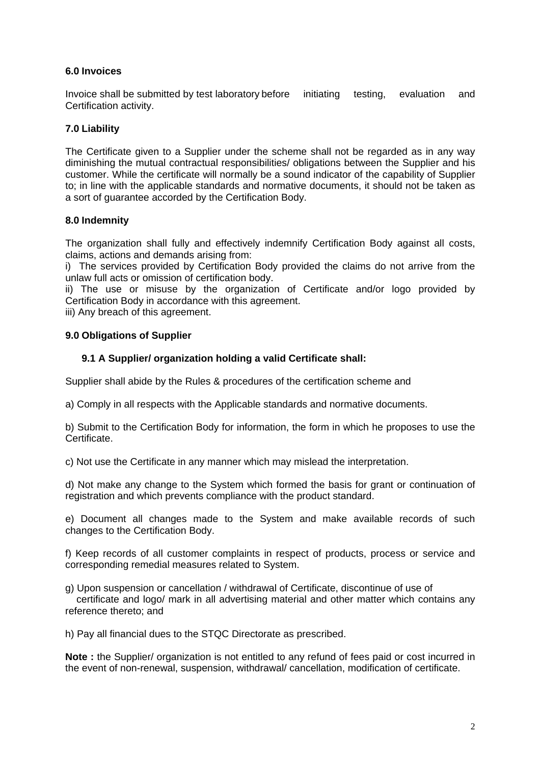# **6.0 Invoices**

Invoice shall be submitted by test laboratory before initiating testing, evaluation and Certification activity.

# **7.0 Liability**

The Certificate given to a Supplier under the scheme shall not be regarded as in any way diminishing the mutual contractual responsibilities/ obligations between the Supplier and his customer. While the certificate will normally be a sound indicator of the capability of Supplier to; in line with the applicable standards and normative documents, it should not be taken as a sort of guarantee accorded by the Certification Body.

# **8.0 Indemnity**

The organization shall fully and effectively indemnify Certification Body against all costs, claims, actions and demands arising from:

i) The services provided by Certification Body provided the claims do not arrive from the unlaw full acts or omission of certification body.

ii) The use or misuse by the organization of Certificate and/or logo provided by Certification Body in accordance with this agreement.

iii) Any breach of this agreement.

# **9.0 Obligations of Supplier**

# **9.1 A Supplier/ organization holding a valid Certificate shall:**

Supplier shall abide by the Rules & procedures of the certification scheme and

a) Comply in all respects with the Applicable standards and normative documents.

b) Submit to the Certification Body for information, the form in which he proposes to use the Certificate.

c) Not use the Certificate in any manner which may mislead the interpretation.

d) Not make any change to the System which formed the basis for grant or continuation of registration and which prevents compliance with the product standard.

e) Document all changes made to the System and make available records of such changes to the Certification Body.

f) Keep records of all customer complaints in respect of products, process or service and corresponding remedial measures related to System.

g) Upon suspension or cancellation / withdrawal of Certificate, discontinue of use of

 certificate and logo/ mark in all advertising material and other matter which contains any reference thereto; and

h) Pay all financial dues to the STQC Directorate as prescribed.

**Note :** the Supplier/ organization is not entitled to any refund of fees paid or cost incurred in the event of non-renewal, suspension, withdrawal/ cancellation, modification of certificate.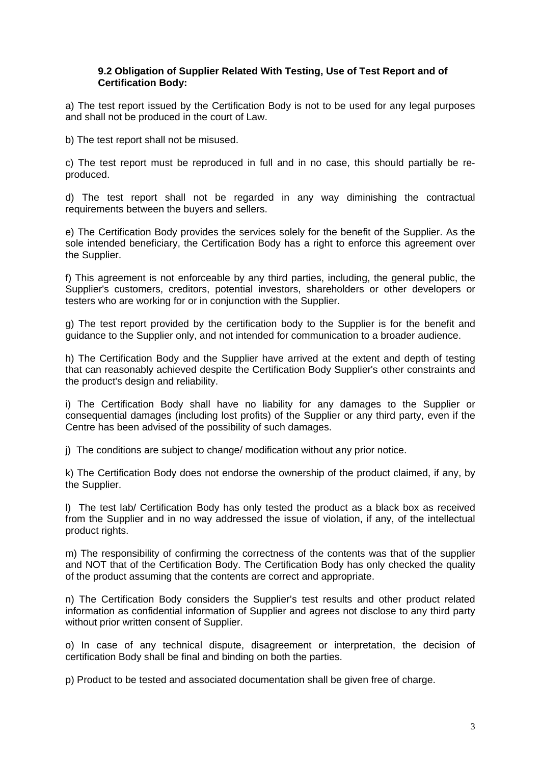## **9.2 Obligation of Supplier Related With Testing, Use of Test Report and of Certification Body:**

a) The test report issued by the Certification Body is not to be used for any legal purposes and shall not be produced in the court of Law.

b) The test report shall not be misused.

c) The test report must be reproduced in full and in no case, this should partially be reproduced.

d) The test report shall not be regarded in any way diminishing the contractual requirements between the buyers and sellers.

e) The Certification Body provides the services solely for the benefit of the Supplier. As the sole intended beneficiary, the Certification Body has a right to enforce this agreement over the Supplier.

f) This agreement is not enforceable by any third parties, including, the general public, the Supplier's customers, creditors, potential investors, shareholders or other developers or testers who are working for or in conjunction with the Supplier.

g) The test report provided by the certification body to the Supplier is for the benefit and guidance to the Supplier only, and not intended for communication to a broader audience.

h) The Certification Body and the Supplier have arrived at the extent and depth of testing that can reasonably achieved despite the Certification Body Supplier's other constraints and the product's design and reliability.

i) The Certification Body shall have no liability for any damages to the Supplier or consequential damages (including lost profits) of the Supplier or any third party, even if the Centre has been advised of the possibility of such damages.

j) The conditions are subject to change/ modification without any prior notice.

k) The Certification Body does not endorse the ownership of the product claimed, if any, by the Supplier.

l) The test lab/ Certification Body has only tested the product as a black box as received from the Supplier and in no way addressed the issue of violation, if any, of the intellectual product rights.

m) The responsibility of confirming the correctness of the contents was that of the supplier and NOT that of the Certification Body. The Certification Body has only checked the quality of the product assuming that the contents are correct and appropriate.

n) The Certification Body considers the Supplier's test results and other product related information as confidential information of Supplier and agrees not disclose to any third party without prior written consent of Supplier.

o) In case of any technical dispute, disagreement or interpretation, the decision of certification Body shall be final and binding on both the parties.

p) Product to be tested and associated documentation shall be given free of charge.